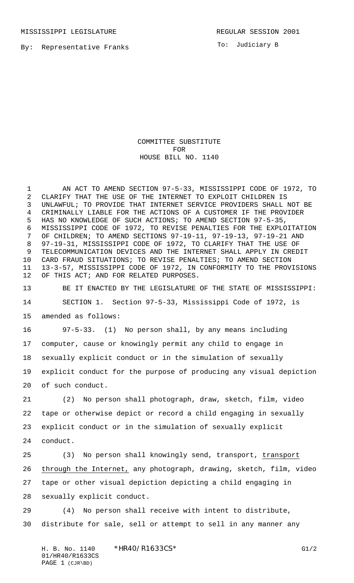MISSISSIPPI LEGISLATURE **REGULAR SESSION 2001** 

To: Judiciary B

COMMITTEE SUBSTITUTE FOR HOUSE BILL NO. 1140

 AN ACT TO AMEND SECTION 97-5-33, MISSISSIPPI CODE OF 1972, TO CLARIFY THAT THE USE OF THE INTERNET TO EXPLOIT CHILDREN IS UNLAWFUL; TO PROVIDE THAT INTERNET SERVICE PROVIDERS SHALL NOT BE CRIMINALLY LIABLE FOR THE ACTIONS OF A CUSTOMER IF THE PROVIDER HAS NO KNOWLEDGE OF SUCH ACTIONS; TO AMEND SECTION 97-5-35, MISSISSIPPI CODE OF 1972, TO REVISE PENALTIES FOR THE EXPLOITATION OF CHILDREN; TO AMEND SECTIONS 97-19-11, 97-19-13, 97-19-21 AND 97-19-31, MISSISSIPPI CODE OF 1972, TO CLARIFY THAT THE USE OF TELECOMMUNICATION DEVICES AND THE INTERNET SHALL APPLY IN CREDIT CARD FRAUD SITUATIONS; TO REVISE PENALTIES; TO AMEND SECTION 13-3-57, MISSISSIPPI CODE OF 1972, IN CONFORMITY TO THE PROVISIONS OF THIS ACT; AND FOR RELATED PURPOSES.

 BE IT ENACTED BY THE LEGISLATURE OF THE STATE OF MISSISSIPPI: SECTION 1. Section 97-5-33, Mississippi Code of 1972, is amended as follows:

 97-5-33. (1) No person shall, by any means including computer, cause or knowingly permit any child to engage in sexually explicit conduct or in the simulation of sexually explicit conduct for the purpose of producing any visual depiction of such conduct.

 (2) No person shall photograph, draw, sketch, film, video tape or otherwise depict or record a child engaging in sexually explicit conduct or in the simulation of sexually explicit conduct.

 (3) No person shall knowingly send, transport, transport through the Internet, any photograph, drawing, sketch, film, video tape or other visual depiction depicting a child engaging in sexually explicit conduct.

 (4) No person shall receive with intent to distribute, distribute for sale, sell or attempt to sell in any manner any

H. B. No. 1140 \*HR40/R1633CS\* G1/2 01/HR40/R1633CS PAGE 1 (CJR\BD)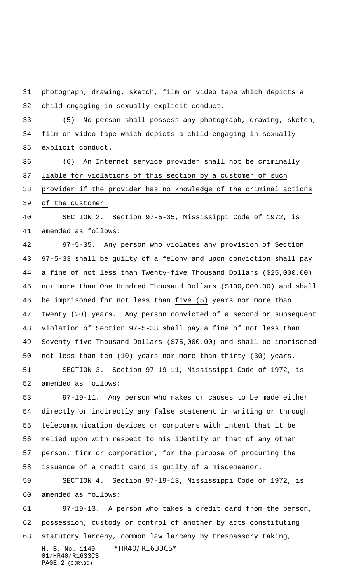photograph, drawing, sketch, film or video tape which depicts a child engaging in sexually explicit conduct.

 (5) No person shall possess any photograph, drawing, sketch, film or video tape which depicts a child engaging in sexually explicit conduct.

 (6) An Internet service provider shall not be criminally liable for violations of this section by a customer of such provider if the provider has no knowledge of the criminal actions

of the customer.

 SECTION 2. Section 97-5-35, Mississippi Code of 1972, is amended as follows:

 97-5-35. Any person who violates any provision of Section 97-5-33 shall be guilty of a felony and upon conviction shall pay a fine of not less than Twenty-five Thousand Dollars (\$25,000.00) nor more than One Hundred Thousand Dollars (\$100,000.00) and shall be imprisoned for not less than five (5) years nor more than twenty (20) years. Any person convicted of a second or subsequent violation of Section 97-5-33 shall pay a fine of not less than Seventy-five Thousand Dollars (\$75,000.00) and shall be imprisoned not less than ten (10) years nor more than thirty (30) years.

 SECTION 3. Section 97-19-11, Mississippi Code of 1972, is amended as follows:

 97-19-11. Any person who makes or causes to be made either directly or indirectly any false statement in writing or through telecommunication devices or computers with intent that it be relied upon with respect to his identity or that of any other person, firm or corporation, for the purpose of procuring the issuance of a credit card is guilty of a misdemeanor.

 SECTION 4. Section 97-19-13, Mississippi Code of 1972, is amended as follows:

H. B. No. 1140 \*HR40/R1633CS\* 97-19-13. A person who takes a credit card from the person, possession, custody or control of another by acts constituting statutory larceny, common law larceny by trespassory taking,

01/HR40/R1633CS PAGE 2 (CJR\BD)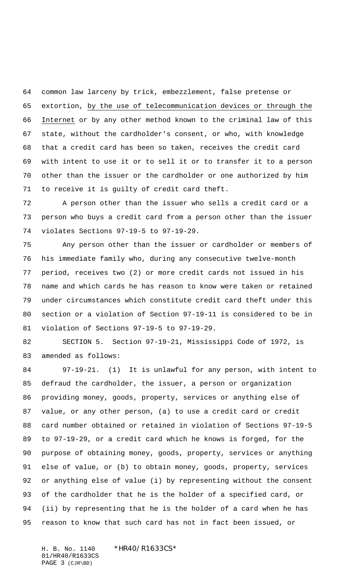common law larceny by trick, embezzlement, false pretense or extortion, by the use of telecommunication devices or through the Internet or by any other method known to the criminal law of this state, without the cardholder's consent, or who, with knowledge that a credit card has been so taken, receives the credit card with intent to use it or to sell it or to transfer it to a person other than the issuer or the cardholder or one authorized by him to receive it is guilty of credit card theft.

 A person other than the issuer who sells a credit card or a person who buys a credit card from a person other than the issuer violates Sections 97-19-5 to 97-19-29.

 Any person other than the issuer or cardholder or members of his immediate family who, during any consecutive twelve-month period, receives two (2) or more credit cards not issued in his name and which cards he has reason to know were taken or retained under circumstances which constitute credit card theft under this section or a violation of Section 97-19-11 is considered to be in violation of Sections 97-19-5 to 97-19-29.

 SECTION 5. Section 97-19-21, Mississippi Code of 1972, is amended as follows:

 97-19-21. (1) It is unlawful for any person, with intent to defraud the cardholder, the issuer, a person or organization providing money, goods, property, services or anything else of value, or any other person, (a) to use a credit card or credit card number obtained or retained in violation of Sections 97-19-5 to 97-19-29, or a credit card which he knows is forged, for the purpose of obtaining money, goods, property, services or anything else of value, or (b) to obtain money, goods, property, services or anything else of value (i) by representing without the consent of the cardholder that he is the holder of a specified card, or (ii) by representing that he is the holder of a card when he has reason to know that such card has not in fact been issued, or

H. B. No. 1140 \*HR40/R1633CS\* 01/HR40/R1633CS PAGE 3 (CJR\BD)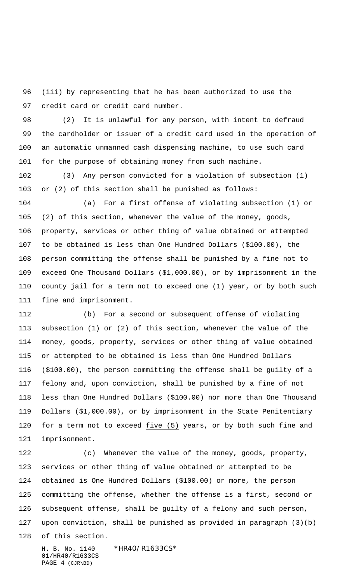(iii) by representing that he has been authorized to use the credit card or credit card number.

 (2) It is unlawful for any person, with intent to defraud the cardholder or issuer of a credit card used in the operation of an automatic unmanned cash dispensing machine, to use such card for the purpose of obtaining money from such machine.

 (3) Any person convicted for a violation of subsection (1) or (2) of this section shall be punished as follows:

 (a) For a first offense of violating subsection (1) or (2) of this section, whenever the value of the money, goods, property, services or other thing of value obtained or attempted to be obtained is less than One Hundred Dollars (\$100.00), the person committing the offense shall be punished by a fine not to exceed One Thousand Dollars (\$1,000.00), or by imprisonment in the county jail for a term not to exceed one (1) year, or by both such fine and imprisonment.

 (b) For a second or subsequent offense of violating subsection (1) or (2) of this section, whenever the value of the money, goods, property, services or other thing of value obtained or attempted to be obtained is less than One Hundred Dollars (\$100.00), the person committing the offense shall be guilty of a felony and, upon conviction, shall be punished by a fine of not less than One Hundred Dollars (\$100.00) nor more than One Thousand Dollars (\$1,000.00), or by imprisonment in the State Penitentiary for a term not to exceed five (5) years, or by both such fine and imprisonment.

 (c) Whenever the value of the money, goods, property, services or other thing of value obtained or attempted to be obtained is One Hundred Dollars (\$100.00) or more, the person committing the offense, whether the offense is a first, second or subsequent offense, shall be guilty of a felony and such person, upon conviction, shall be punished as provided in paragraph (3)(b)

of this section.

H. B. No. 1140 \*HR40/R1633CS\* 01/HR40/R1633CS PAGE 4 (CJR\BD)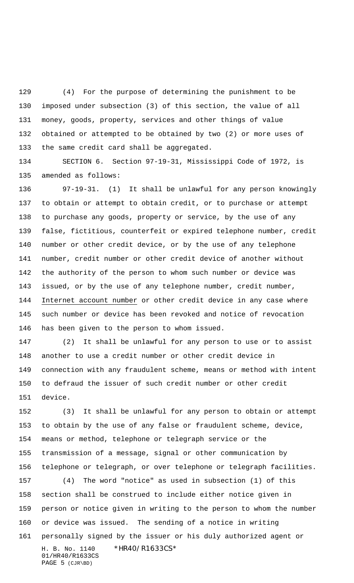(4) For the purpose of determining the punishment to be imposed under subsection (3) of this section, the value of all money, goods, property, services and other things of value obtained or attempted to be obtained by two (2) or more uses of the same credit card shall be aggregated.

 SECTION 6. Section 97-19-31, Mississippi Code of 1972, is amended as follows:

 97-19-31. (1) It shall be unlawful for any person knowingly to obtain or attempt to obtain credit, or to purchase or attempt to purchase any goods, property or service, by the use of any false, fictitious, counterfeit or expired telephone number, credit number or other credit device, or by the use of any telephone number, credit number or other credit device of another without the authority of the person to whom such number or device was issued, or by the use of any telephone number, credit number, Internet account number or other credit device in any case where such number or device has been revoked and notice of revocation has been given to the person to whom issued.

 (2) It shall be unlawful for any person to use or to assist another to use a credit number or other credit device in connection with any fraudulent scheme, means or method with intent to defraud the issuer of such credit number or other credit device.

 (3) It shall be unlawful for any person to obtain or attempt to obtain by the use of any false or fraudulent scheme, device, means or method, telephone or telegraph service or the transmission of a message, signal or other communication by telephone or telegraph, or over telephone or telegraph facilities.

H. B. No. 1140 \*HR40/R1633CS\* 01/HR40/R1633CS PAGE 5 (CJR\BD) (4) The word "notice" as used in subsection (1) of this section shall be construed to include either notice given in person or notice given in writing to the person to whom the number or device was issued. The sending of a notice in writing personally signed by the issuer or his duly authorized agent or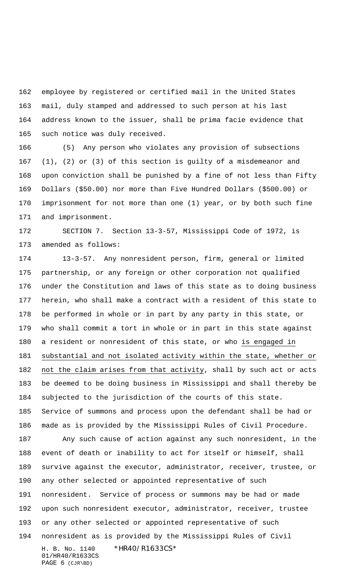employee by registered or certified mail in the United States mail, duly stamped and addressed to such person at his last address known to the issuer, shall be prima facie evidence that such notice was duly received.

 (5) Any person who violates any provision of subsections (1), (2) or (3) of this section is guilty of a misdemeanor and upon conviction shall be punished by a fine of not less than Fifty Dollars (\$50.00) nor more than Five Hundred Dollars (\$500.00) or imprisonment for not more than one (1) year, or by both such fine and imprisonment.

 SECTION 7. Section 13-3-57, Mississippi Code of 1972, is amended as follows:

 13-3-57. Any nonresident person, firm, general or limited partnership, or any foreign or other corporation not qualified under the Constitution and laws of this state as to doing business herein, who shall make a contract with a resident of this state to be performed in whole or in part by any party in this state, or who shall commit a tort in whole or in part in this state against a resident or nonresident of this state, or who is engaged in substantial and not isolated activity within the state, whether or not the claim arises from that activity, shall by such act or acts be deemed to be doing business in Mississippi and shall thereby be subjected to the jurisdiction of the courts of this state. Service of summons and process upon the defendant shall be had or made as is provided by the Mississippi Rules of Civil Procedure. Any such cause of action against any such nonresident, in the event of death or inability to act for itself or himself, shall survive against the executor, administrator, receiver, trustee, or any other selected or appointed representative of such nonresident. Service of process or summons may be had or made upon such nonresident executor, administrator, receiver, trustee or any other selected or appointed representative of such

H. B. No. 1140 \*HR40/R1633CS\* 01/HR40/R1633CS nonresident as is provided by the Mississippi Rules of Civil

PAGE 6 (CJR\BD)